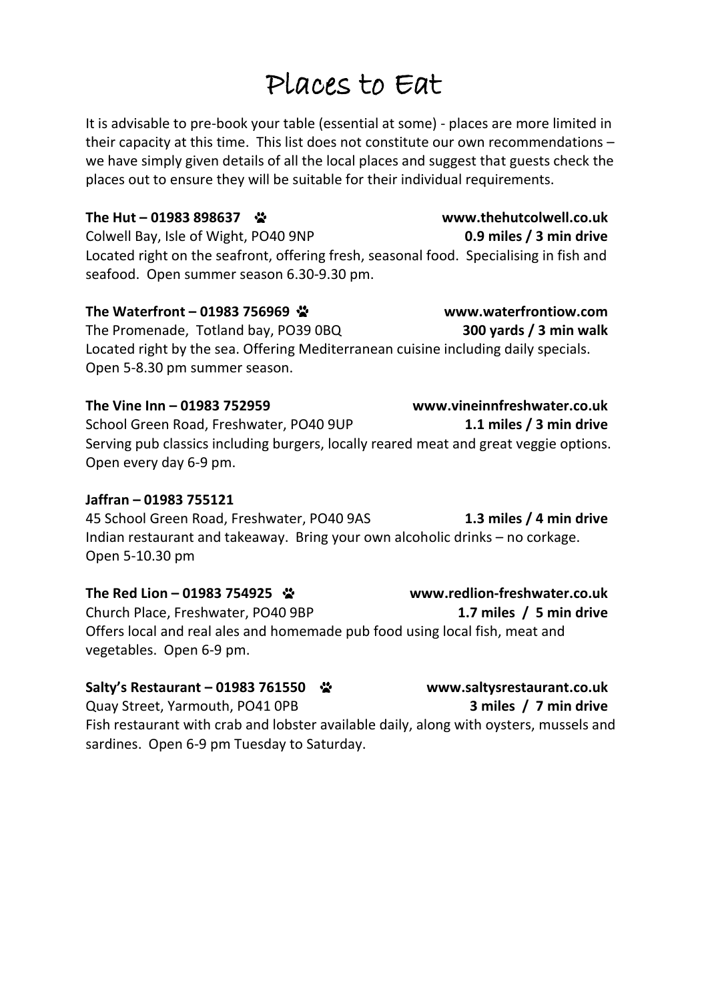# Places to Eat

It is advisable to pre-book your table (essential at some) - places are more limited in their capacity at this time. This list does not constitute our own recommendations – we have simply given details of all the local places and suggest that guests check the places out to ensure they will be suitable for their individual requirements.

**The Hut – 01983 898637 www.thehutcolwell.co.uk** Colwell Bay, Isle of Wight, PO40 9NP **0.9 miles / 3 min drive** Located right on the seafront, offering fresh, seasonal food. Specialising in fish and seafood. Open summer season 6.30-9.30 pm.

### **The Waterfront – 01983 756969 www.waterfrontiow.com** The Promenade, Totland bay, PO39 0BQ **300 yards / 3 min walk** Located right by the sea. Offering Mediterranean cuisine including daily specials. Open 5-8.30 pm summer season.

**The Vine Inn – 01983 752959 www.vineinnfreshwater.co.uk** School Green Road, Freshwater, PO40 9UP **1.1 miles / 3 min drive** Serving pub classics including burgers, locally reared meat and great veggie options. Open every day 6-9 pm.

### **Jaffran – 01983 755121**

45 School Green Road, Freshwater, PO40 9AS **1.3 miles / 4 min drive** Indian restaurant and takeaway. Bring your own alcoholic drinks – no corkage. Open 5-10.30 pm

### **The Red Lion – 01983 754925 www.redlion-freshwater.co.uk**

Church Place, Freshwater, PO40 9BP **1.7 miles / 5 min drive** Offers local and real ales and homemade pub food using local fish, meat and vegetables. Open 6-9 pm.

### **Salty's Restaurant – 01983 761550 www.saltysrestaurant.co.uk**

Quay Street, Yarmouth, PO41 0PB **3 miles / 7 min drive** Fish restaurant with crab and lobster available daily, along with oysters, mussels and sardines. Open 6-9 pm Tuesday to Saturday.